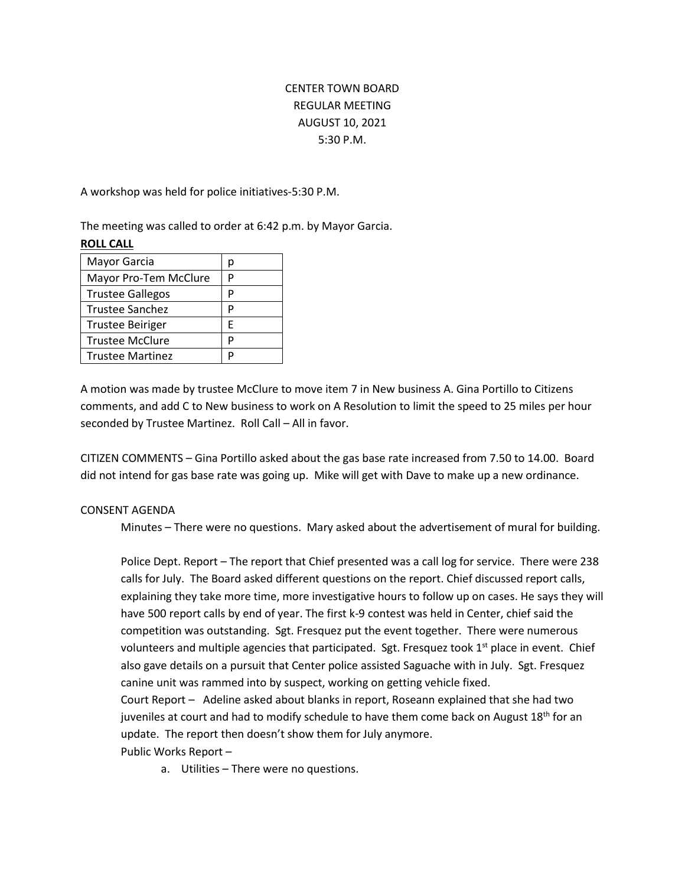# CENTER TOWN BOARD REGULAR MEETING AUGUST 10, 2021 5:30 P.M.

A workshop was held for police initiatives-5:30 P.M.

The meeting was called to order at 6:42 p.m. by Mayor Garcia. **ROLL CALL**

| D |
|---|
| P |
| D |
| D |
| F |
| D |
|   |
|   |

A motion was made by trustee McClure to move item 7 in New business A. Gina Portillo to Citizens comments, and add C to New business to work on A Resolution to limit the speed to 25 miles per hour seconded by Trustee Martinez. Roll Call – All in favor.

CITIZEN COMMENTS – Gina Portillo asked about the gas base rate increased from 7.50 to 14.00. Board did not intend for gas base rate was going up. Mike will get with Dave to make up a new ordinance.

## CONSENT AGENDA

Minutes – There were no questions. Mary asked about the advertisement of mural for building.

Police Dept. Report – The report that Chief presented was a call log for service. There were 238 calls for July. The Board asked different questions on the report. Chief discussed report calls, explaining they take more time, more investigative hours to follow up on cases. He says they will have 500 report calls by end of year. The first k-9 contest was held in Center, chief said the competition was outstanding. Sgt. Fresquez put the event together. There were numerous volunteers and multiple agencies that participated. Sgt. Fresquez took 1<sup>st</sup> place in event. Chief also gave details on a pursuit that Center police assisted Saguache with in July. Sgt. Fresquez canine unit was rammed into by suspect, working on getting vehicle fixed.

Court Report – Adeline asked about blanks in report, Roseann explained that she had two juveniles at court and had to modify schedule to have them come back on August  $18<sup>th</sup>$  for an update. The report then doesn't show them for July anymore.

Public Works Report –

a. Utilities – There were no questions.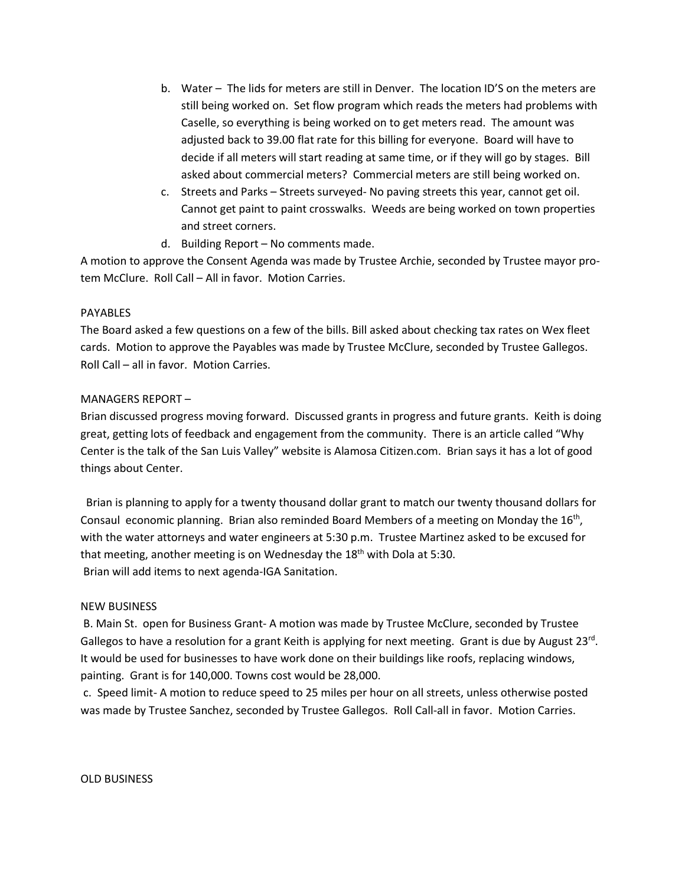- b. Water The lids for meters are still in Denver. The location ID'S on the meters are still being worked on. Set flow program which reads the meters had problems with Caselle, so everything is being worked on to get meters read. The amount was adjusted back to 39.00 flat rate for this billing for everyone. Board will have to decide if all meters will start reading at same time, or if they will go by stages. Bill asked about commercial meters? Commercial meters are still being worked on.
- c. Streets and Parks Streets surveyed- No paving streets this year, cannot get oil. Cannot get paint to paint crosswalks. Weeds are being worked on town properties and street corners.
- d. Building Report No comments made.

A motion to approve the Consent Agenda was made by Trustee Archie, seconded by Trustee mayor protem McClure. Roll Call – All in favor. Motion Carries.

## PAYABLES

The Board asked a few questions on a few of the bills. Bill asked about checking tax rates on Wex fleet cards. Motion to approve the Payables was made by Trustee McClure, seconded by Trustee Gallegos. Roll Call – all in favor. Motion Carries.

## MANAGERS REPORT –

Brian discussed progress moving forward. Discussed grants in progress and future grants. Keith is doing great, getting lots of feedback and engagement from the community. There is an article called "Why Center is the talk of the San Luis Valley" website is Alamosa Citizen.com. Brian says it has a lot of good things about Center.

Brian is planning to apply for a twenty thousand dollar grant to match our twenty thousand dollars for Consaul economic planning. Brian also reminded Board Members of a meeting on Monday the 16<sup>th</sup>, with the water attorneys and water engineers at 5:30 p.m. Trustee Martinez asked to be excused for that meeting, another meeting is on Wednesday the  $18<sup>th</sup>$  with Dola at 5:30. Brian will add items to next agenda-IGA Sanitation.

#### NEW BUSINESS

B. Main St. open for Business Grant- A motion was made by Trustee McClure, seconded by Trustee Gallegos to have a resolution for a grant Keith is applying for next meeting. Grant is due by August 23<sup>rd</sup>. It would be used for businesses to have work done on their buildings like roofs, replacing windows, painting. Grant is for 140,000. Towns cost would be 28,000.

c. Speed limit- A motion to reduce speed to 25 miles per hour on all streets, unless otherwise posted was made by Trustee Sanchez, seconded by Trustee Gallegos. Roll Call-all in favor. Motion Carries.

#### OLD BUSINESS